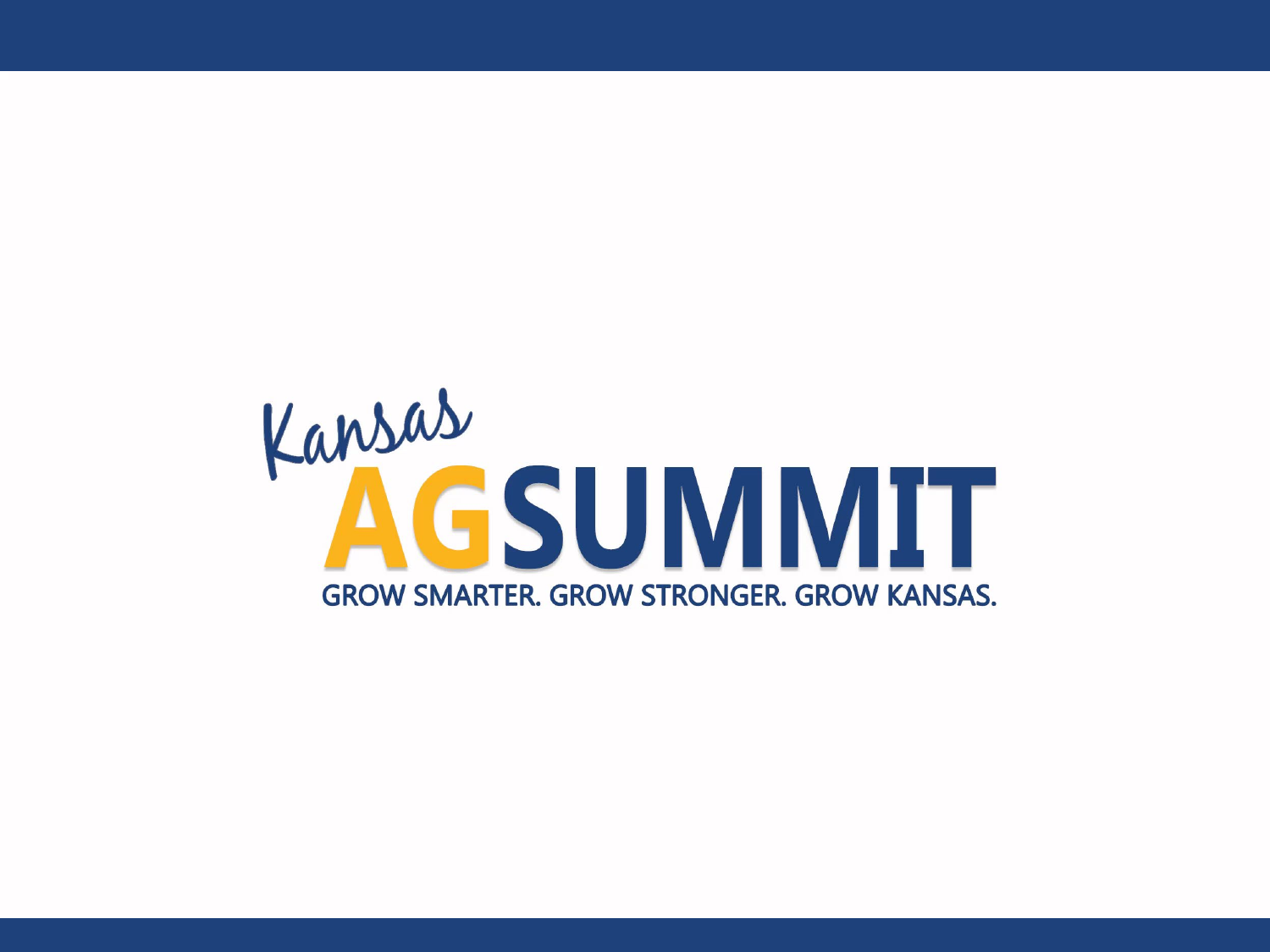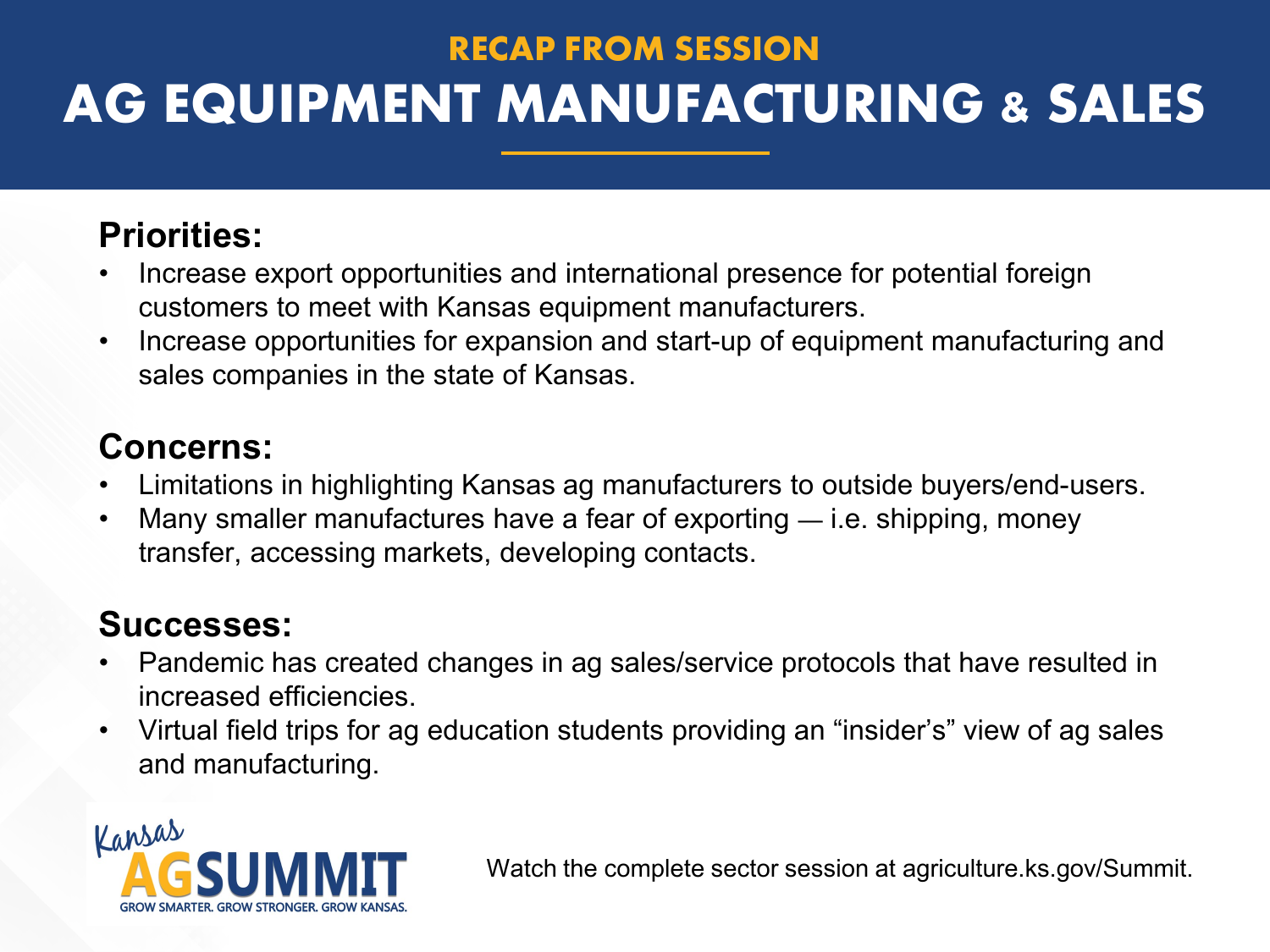### **RECAP FROM SESSION AG EQUIPMENT MANUFACTURING & SALES**

### **Priorities:**

- Increase export opportunities and international presence for potential foreign customers to meet with Kansas equipment manufacturers.
- Increase opportunities for expansion and start-up of equipment manufacturing and sales companies in the state of Kansas.

#### **Concerns:**

- Limitations in highlighting Kansas ag manufacturers to outside buyers/end-users.
- Many smaller manufactures have a fear of exporting  $-$  i.e. shipping, money transfer, accessing markets, developing contacts.

#### **Successes:**

- Pandemic has created changes in ag sales/service protocols that have resulted in increased efficiencies.
- Virtual field trips for ag education students providing an "insider's" view of ag sales and manufacturing.

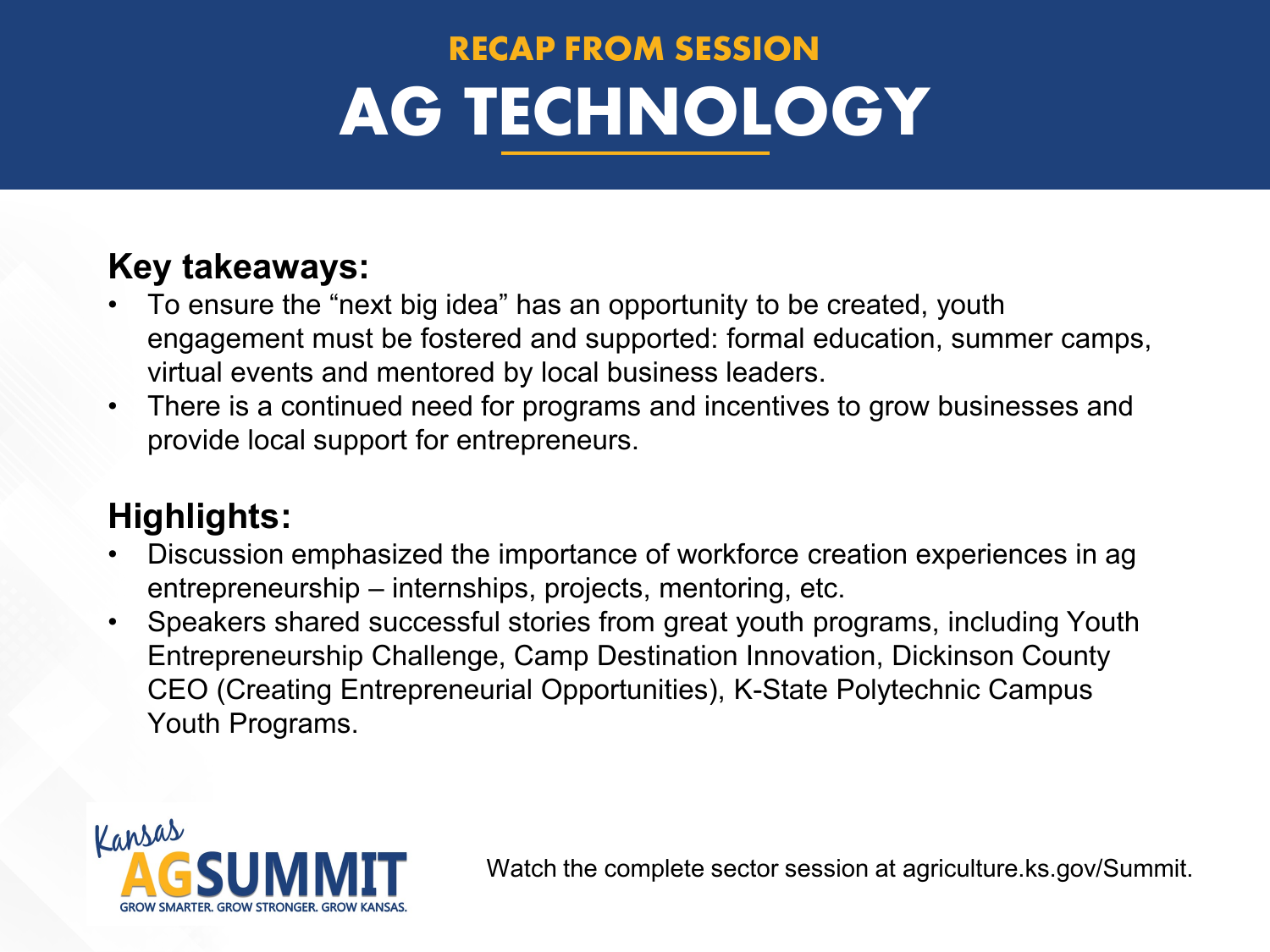# **RECAP FROM SESSION AG TECHNOLOGY**

#### **Key takeaways:**

- To ensure the "next big idea" has an opportunity to be created, youth engagement must be fostered and supported: formal education, summer camps, virtual events and mentored by local business leaders.
- There is a continued need for programs and incentives to grow businesses and provide local support for entrepreneurs.

#### **Highlights:**

- Discussion emphasized the importance of workforce creation experiences in ag entrepreneurship – internships, projects, mentoring, etc.
- Speakers shared successful stories from great youth programs, including Youth Entrepreneurship Challenge, Camp Destination Innovation, Dickinson County CEO (Creating Entrepreneurial Opportunities), K-State Polytechnic Campus Youth Programs.

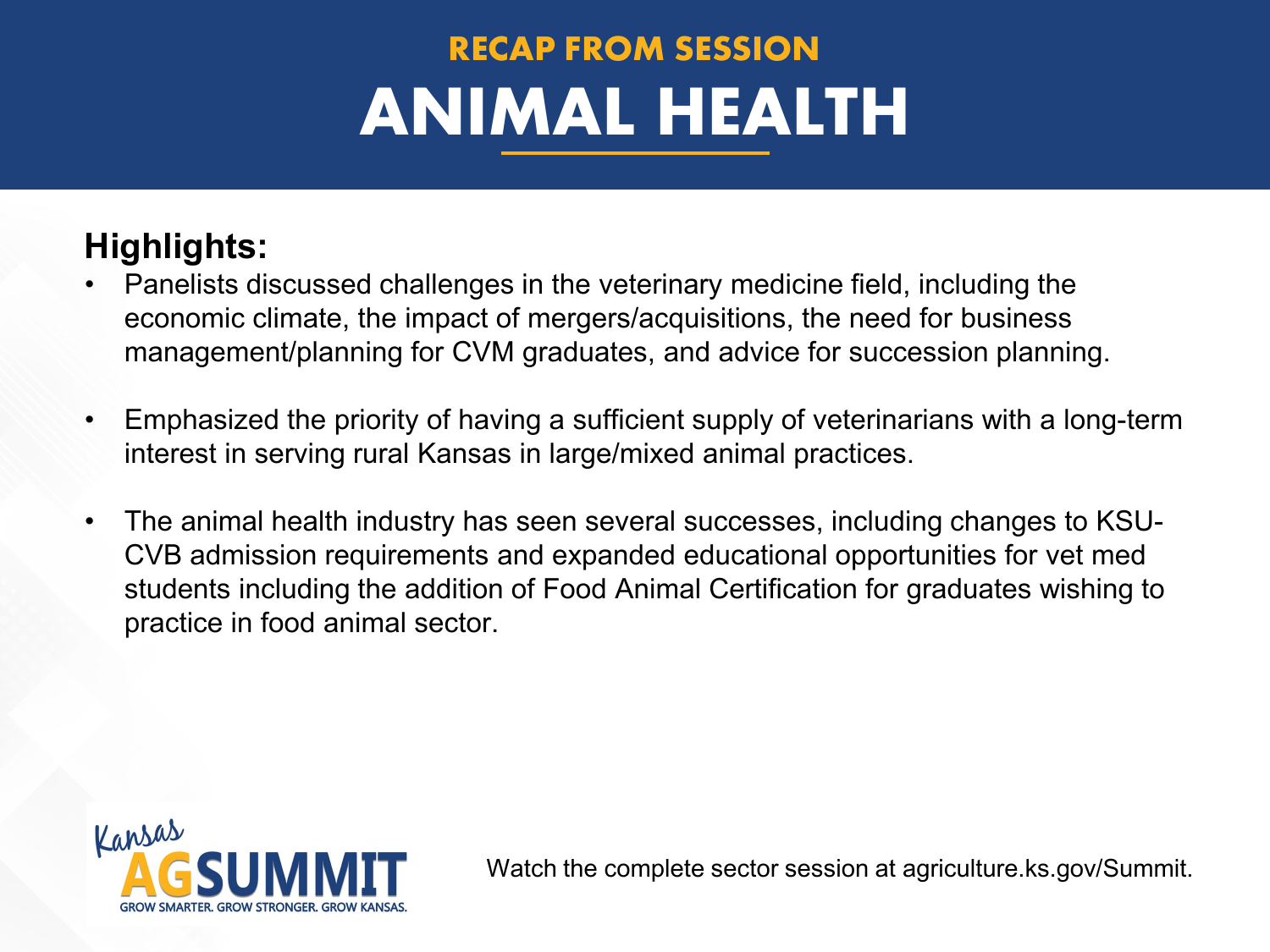# **RECAP FROM SESSION ANIMAL HEALTH**

#### **Highlights:**

- Panelists discussed challenges in the veterinary medicine field, including the economic climate, the impact of mergers/acquisitions, the need for business management/planning for CVM graduates, and advice for succession planning.
- Emphasized the priority of having a sufficient supply of veterinarians with a long-term interest in serving rural Kansas in large/mixed animal practices.
- The animal health industry has seen several successes, including changes to KSU-CVB admission requirements and expanded educational opportunities for vet med students including the addition of Food Animal Certification for graduates wishing to practice in food animal sector.

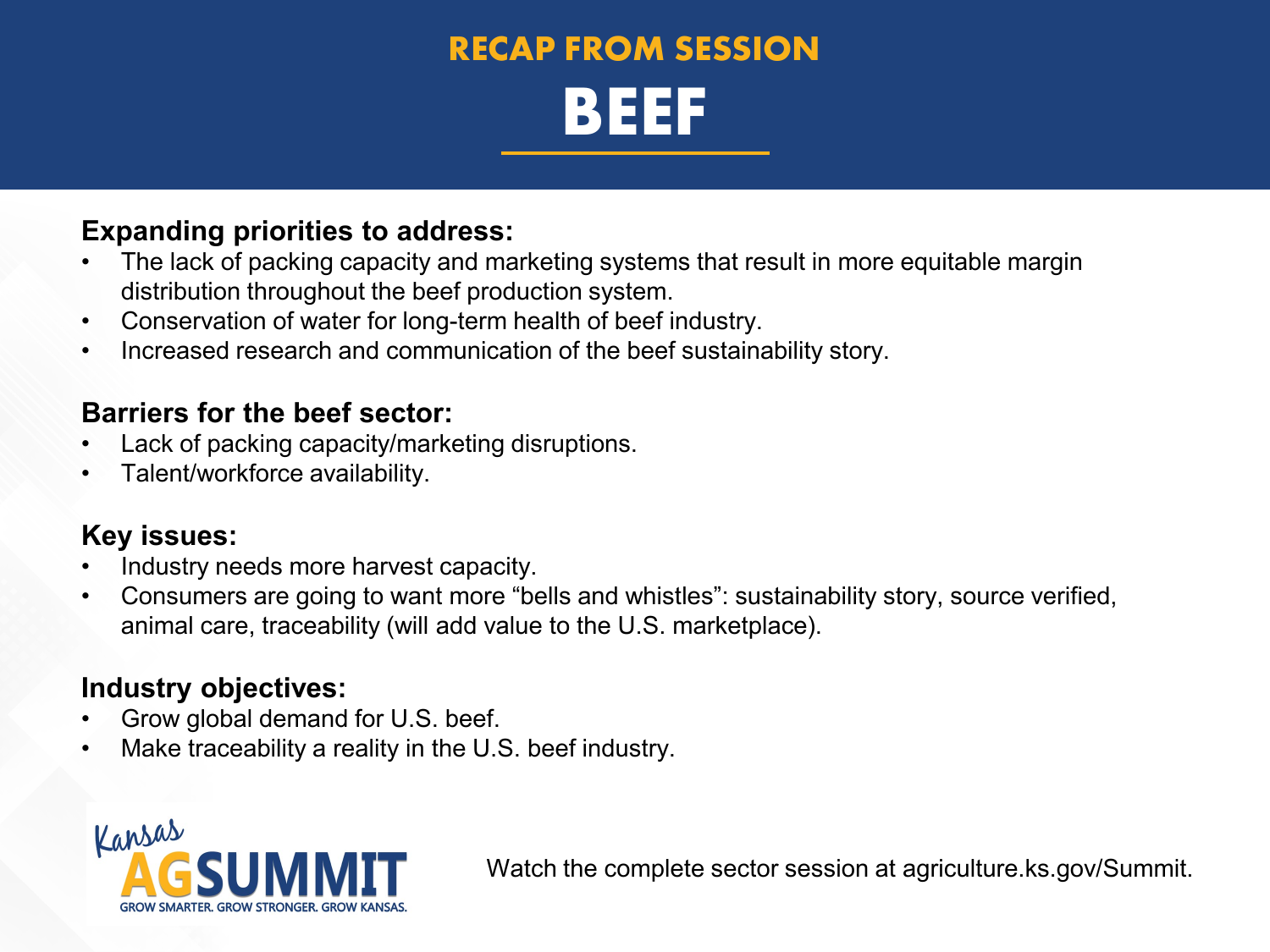### **RECAP FROM SESSION BEEF**

#### **Expanding priorities to address:**

- The lack of packing capacity and marketing systems that result in more equitable margin distribution throughout the beef production system.
- Conservation of water for long-term health of beef industry.
- Increased research and communication of the beef sustainability story.

#### **Barriers for the beef sector:**

- Lack of packing capacity/marketing disruptions.
- Talent/workforce availability.

#### **Key issues:**

- Industry needs more harvest capacity.
- Consumers are going to want more "bells and whistles": sustainability story, source verified, animal care, traceability (will add value to the U.S. marketplace).

#### **Industry objectives:**

- Grow global demand for U.S. beef.
- Make traceability a reality in the U.S. beef industry.

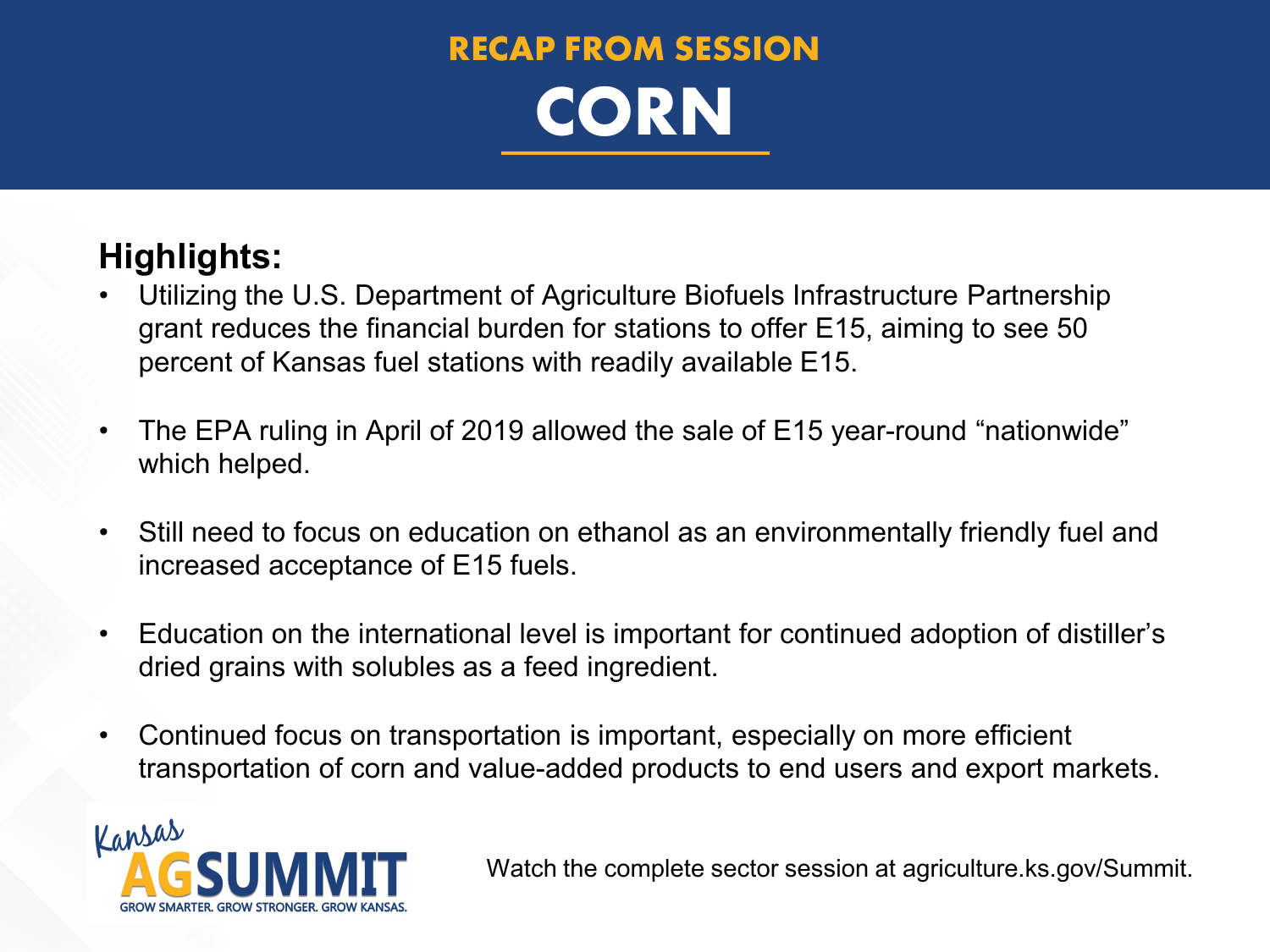

#### **Highlights:**

- Utilizing the U.S. Department of Agriculture Biofuels Infrastructure Partnership grant reduces the financial burden for stations to offer E15, aiming to see 50 percent of Kansas fuel stations with readily available E15.
- The EPA ruling in April of 2019 allowed the sale of E15 year-round "nationwide" which helped.
- Still need to focus on education on ethanol as an environmentally friendly fuel and increased acceptance of E15 fuels.
- Education on the international level is important for continued adoption of distiller's dried grains with solubles as a feed ingredient.
- Continued focus on transportation is important, especially on more efficient transportation of corn and value-added products to end users and export markets.

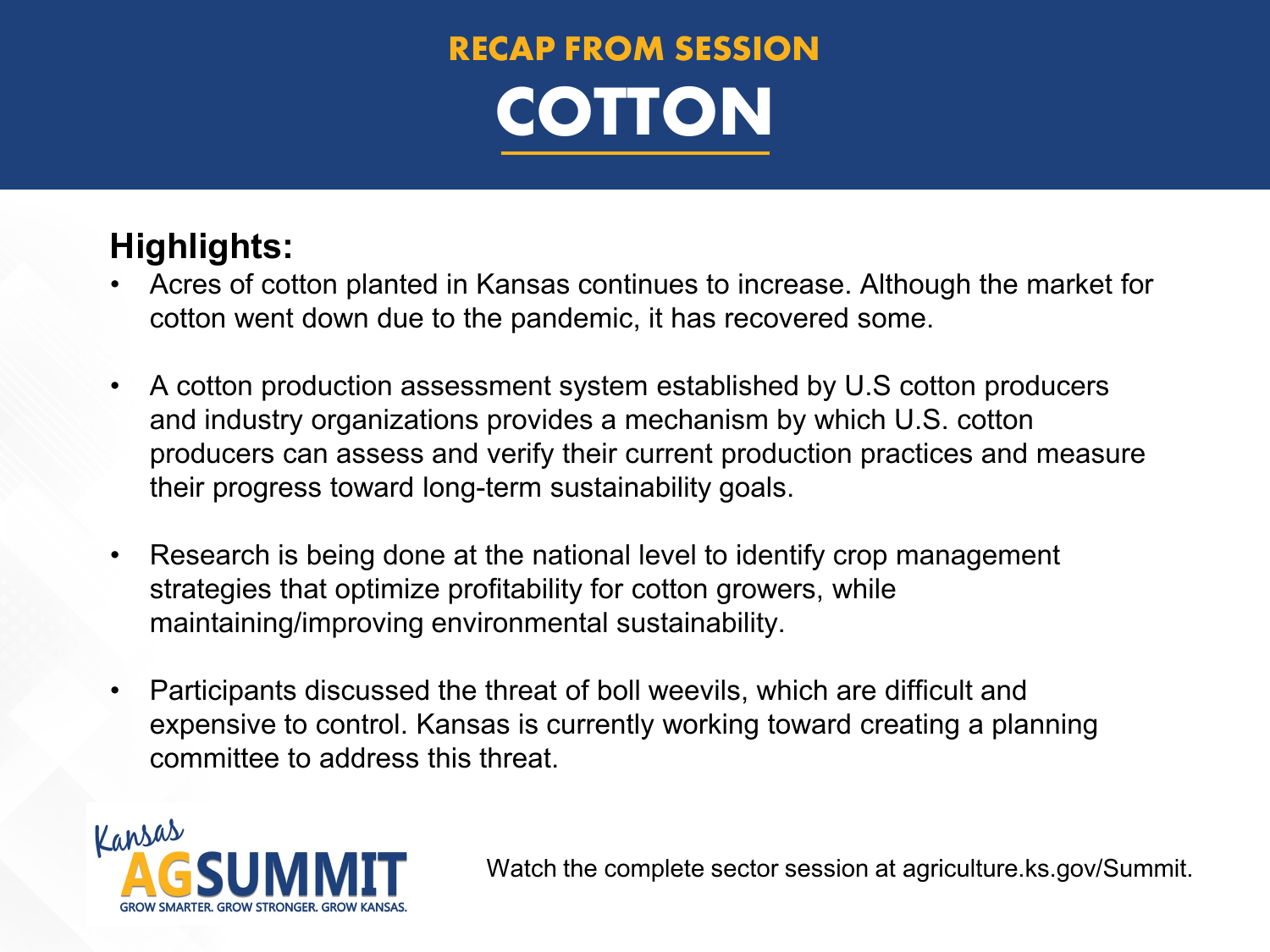

#### **Highlights:**

- Acres of cotton planted in Kansas continues to increase. Although the market for cotton went down due to the pandemic, it has recovered some.
- A cotton production assessment system established by U.S cotton producers and industry organizations provides a mechanism by which U.S. cotton producers can assess and verify their current production practices and measure their progress toward long-term sustainability goals.
- Research is being done at the national level to identify crop management strategies that optimize profitability for cotton growers, while maintaining/improving environmental sustainability.
- Participants discussed the threat of boll weevils, which are difficult and expensive to control. Kansas is currently working toward creating a planning committee to address this threat.

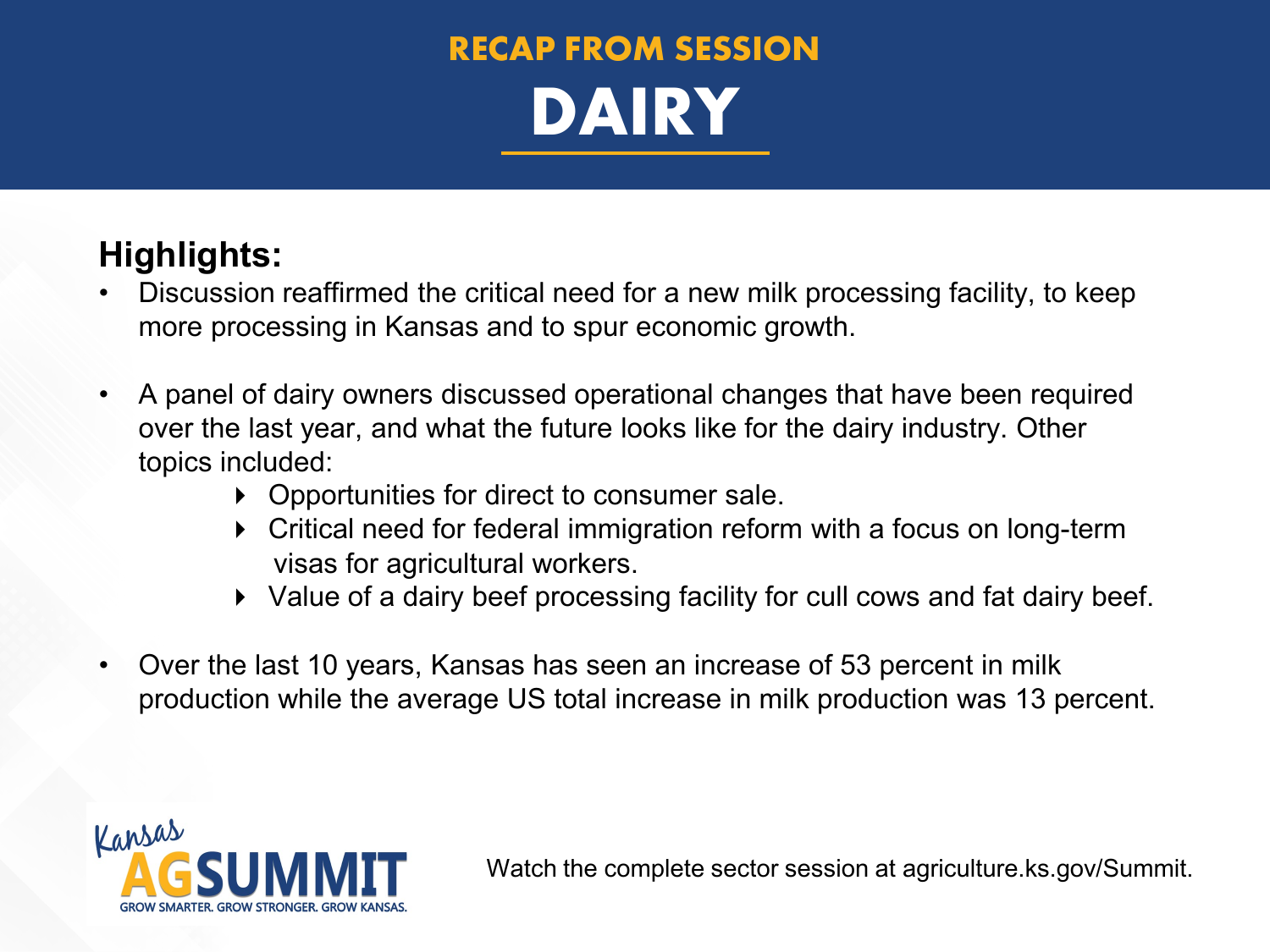

#### **Highlights:**

- Discussion reaffirmed the critical need for a new milk processing facility, to keep more processing in Kansas and to spur economic growth.
- A panel of dairy owners discussed operational changes that have been required over the last year, and what the future looks like for the dairy industry. Other topics included:
	- ▶ Opportunities for direct to consumer sale.
	- Critical need for federal immigration reform with a focus on long-term visas for agricultural workers.
	- Value of a dairy beef processing facility for cull cows and fat dairy beef.
- Over the last 10 years, Kansas has seen an increase of 53 percent in milk production while the average US total increase in milk production was 13 percent.

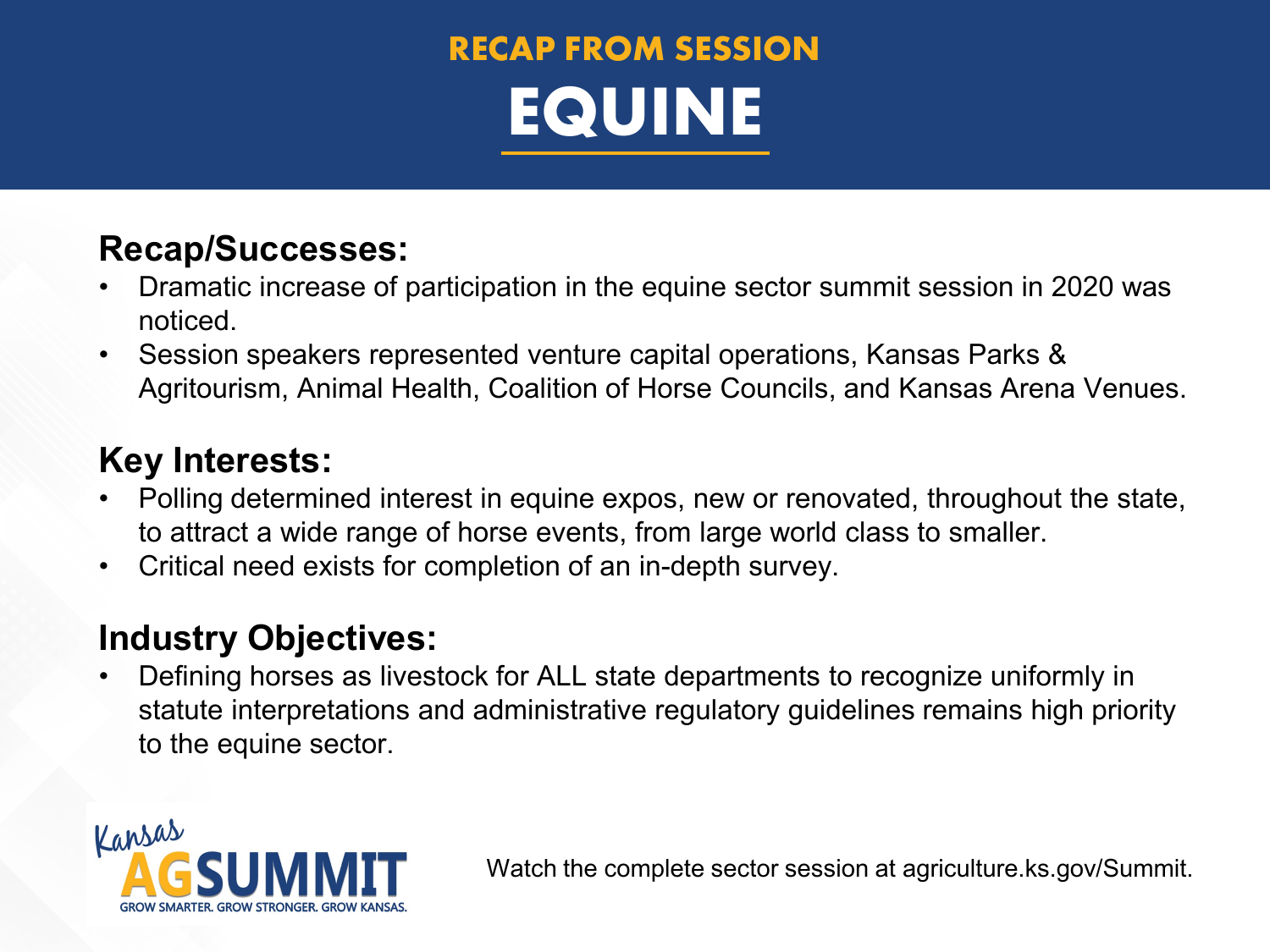### **RECAP FROM SESSION EQUINE**

#### **Recap/Successes:**

- Dramatic increase of participation in the equine sector summit session in 2020 was noticed.
- Session speakers represented venture capital operations, Kansas Parks & Agritourism, Animal Health, Coalition of Horse Councils, and Kansas Arena Venues.

#### **Key Interests:**

- Polling determined interest in equine expos, new or renovated, throughout the state, to attract a wide range of horse events, from large world class to smaller.
- Critical need exists for completion of an in-depth survey.

#### **Industry Objectives:**

• Defining horses as livestock for ALL state departments to recognize uniformly in statute interpretations and administrative regulatory guidelines remains high priority to the equine sector.

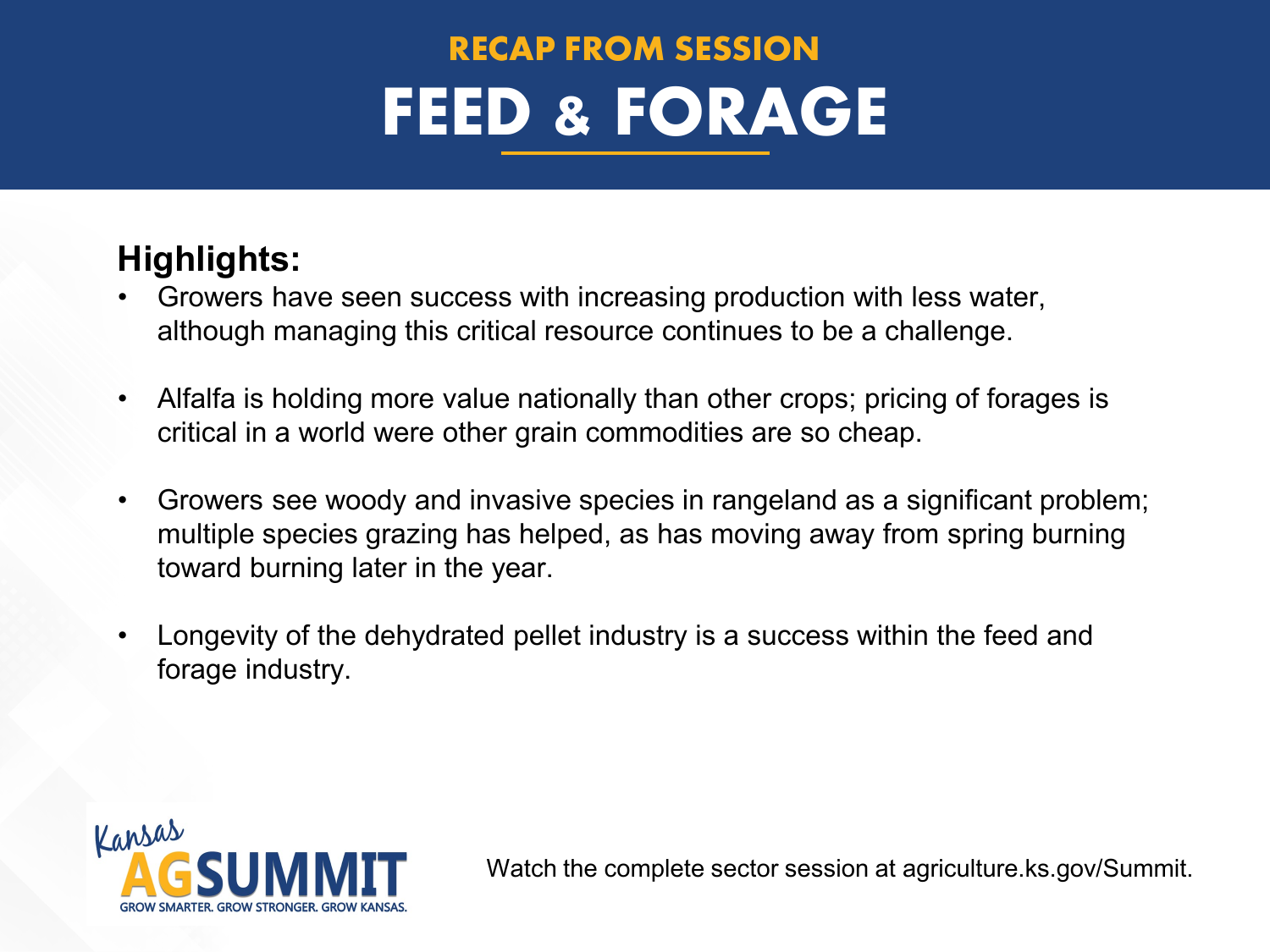## **RECAP FROM SESSION FEED & FORAGE**

#### **Highlights:**

- Growers have seen success with increasing production with less water, although managing this critical resource continues to be a challenge.
- Alfalfa is holding more value nationally than other crops; pricing of forages is critical in a world were other grain commodities are so cheap.
- Growers see woody and invasive species in rangeland as a significant problem; multiple species grazing has helped, as has moving away from spring burning toward burning later in the year.
- Longevity of the dehydrated pellet industry is a success within the feed and forage industry.

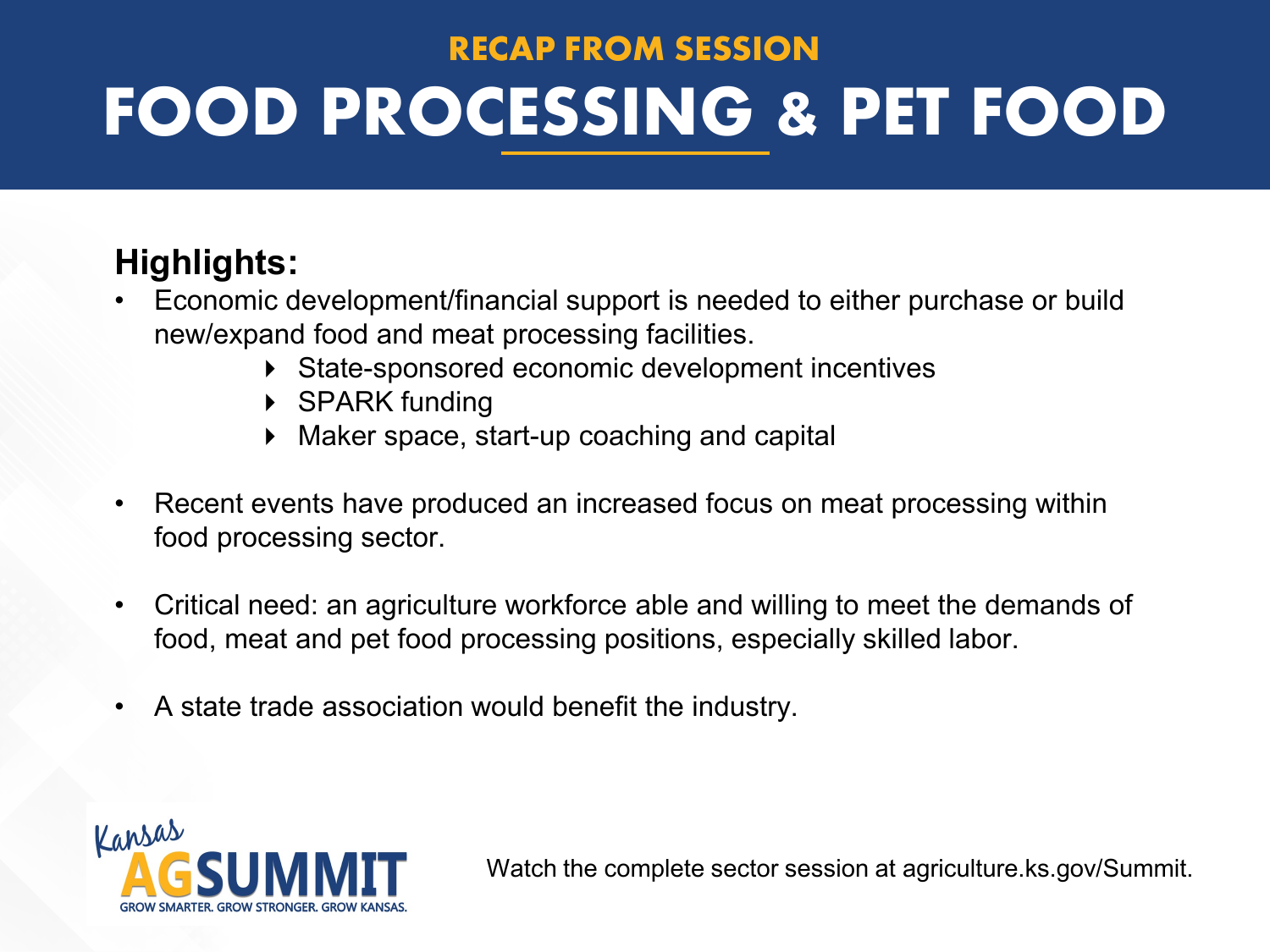# **RECAP FROM SESSION FOOD PROCESSING & PET FOOD**

#### **Highlights:**

- Economic development/financial support is needed to either purchase or build new/expand food and meat processing facilities.
	- State-sponsored economic development incentives
	- ▶ SPARK funding
	- Maker space, start-up coaching and capital
- Recent events have produced an increased focus on meat processing within food processing sector.
- Critical need: an agriculture workforce able and willing to meet the demands of food, meat and pet food processing positions, especially skilled labor.
- A state trade association would benefit the industry.

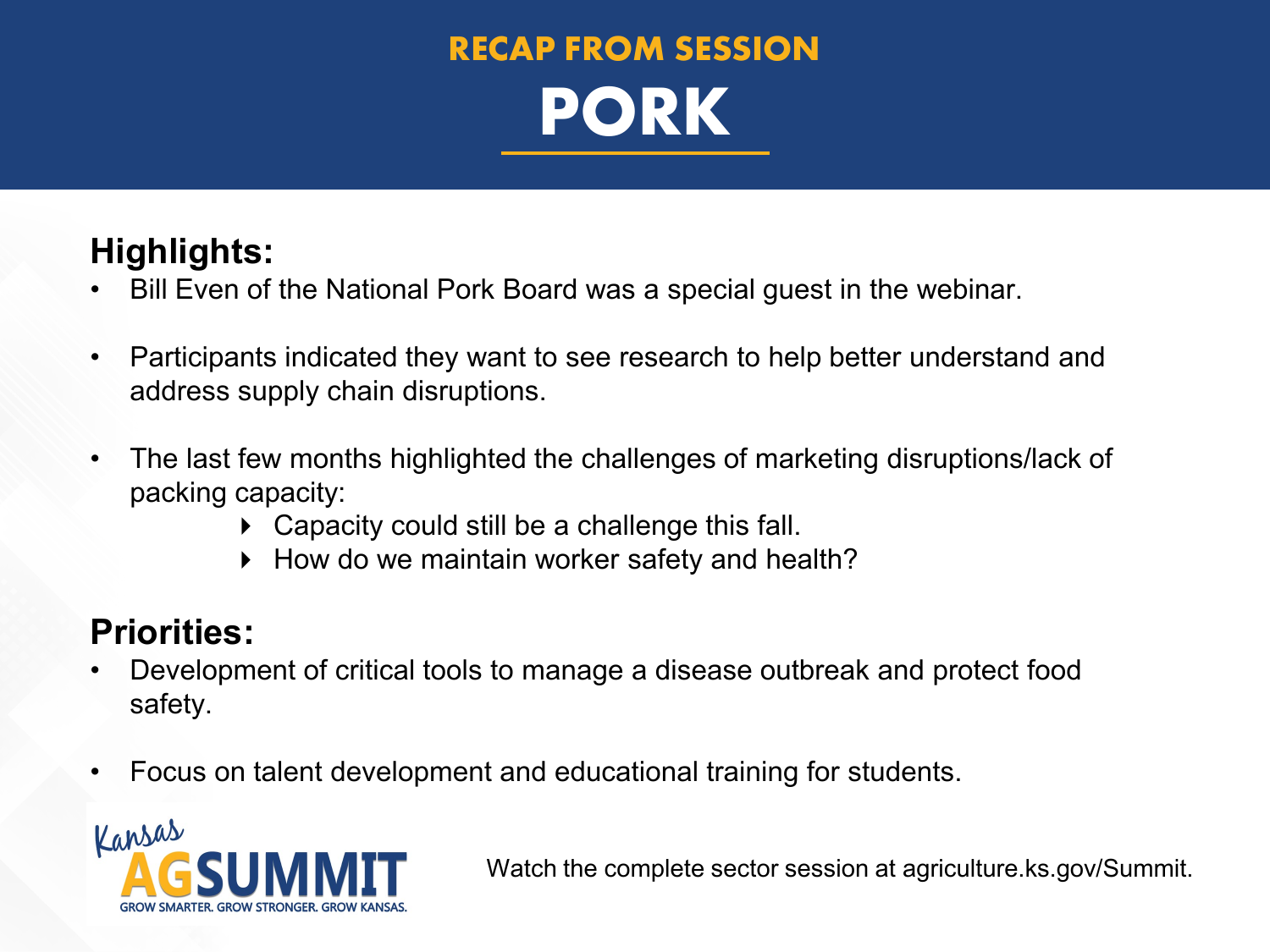### **RECAP FROM SESSION PORK**

#### **Highlights:**

- Bill Even of the National Pork Board was a special guest in the webinar.
- Participants indicated they want to see research to help better understand and address supply chain disruptions.
- The last few months highlighted the challenges of marketing disruptions/lack of packing capacity:
	- ▶ Capacity could still be a challenge this fall.
	- ▶ How do we maintain worker safety and health?

#### **Priorities:**

- Development of critical tools to manage a disease outbreak and protect food safety.
- Focus on talent development and educational training for students.

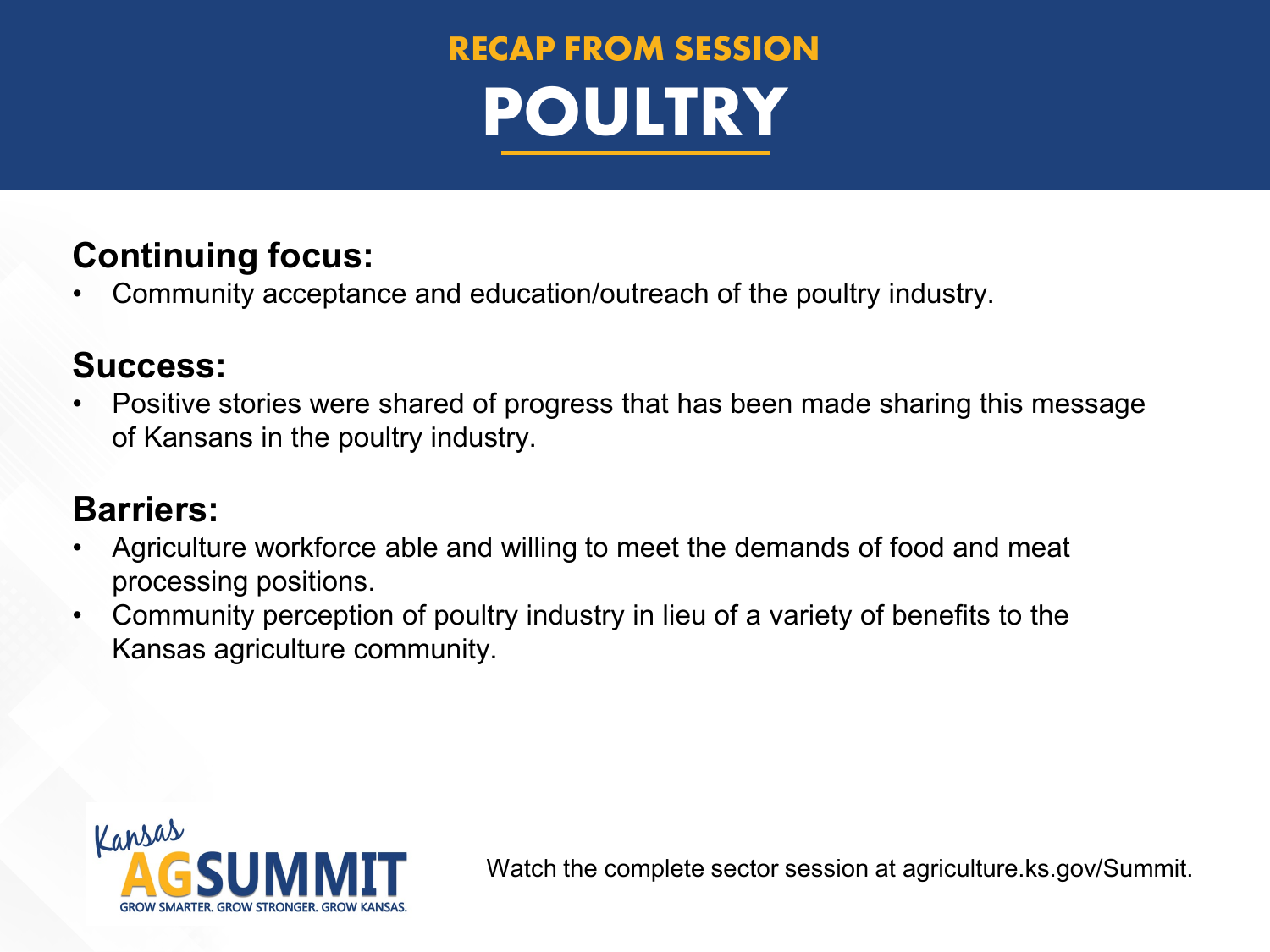## **RECAP FROM SESSION POULTRY**

#### **Continuing focus:**

• Community acceptance and education/outreach of the poultry industry.

#### **Success:**

• Positive stories were shared of progress that has been made sharing this message of Kansans in the poultry industry.

#### **Barriers:**

- Agriculture workforce able and willing to meet the demands of food and meat processing positions.
- Community perception of poultry industry in lieu of a variety of benefits to the Kansas agriculture community.

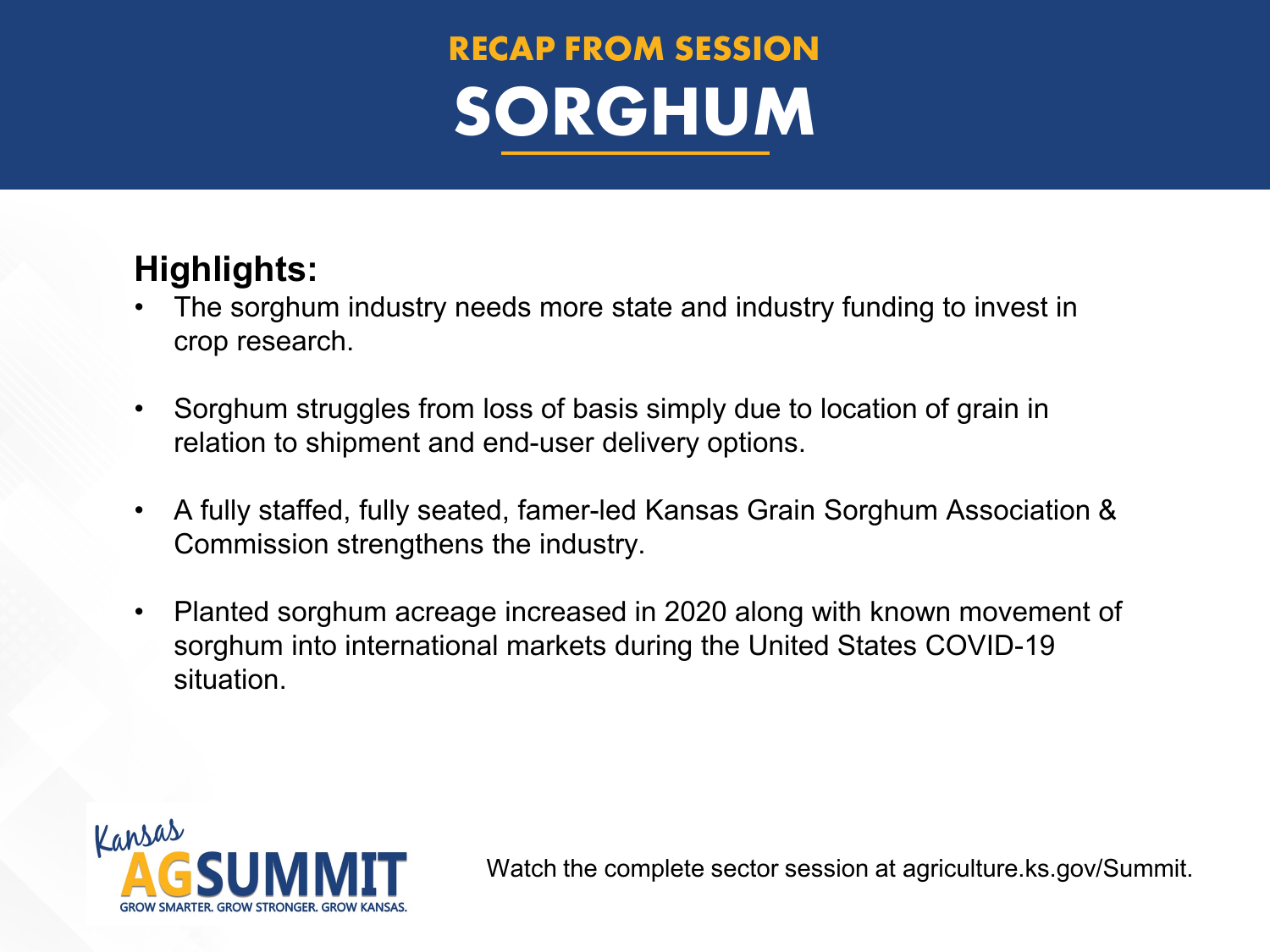## **RECAP FROM SESSION SORGHUM**

#### **Highlights:**

- The sorghum industry needs more state and industry funding to invest in crop research.
- Sorghum struggles from loss of basis simply due to location of grain in relation to shipment and end-user delivery options.
- A fully staffed, fully seated, famer-led Kansas Grain Sorghum Association & Commission strengthens the industry.
- Planted sorghum acreage increased in 2020 along with known movement of sorghum into international markets during the United States COVID-19 situation.

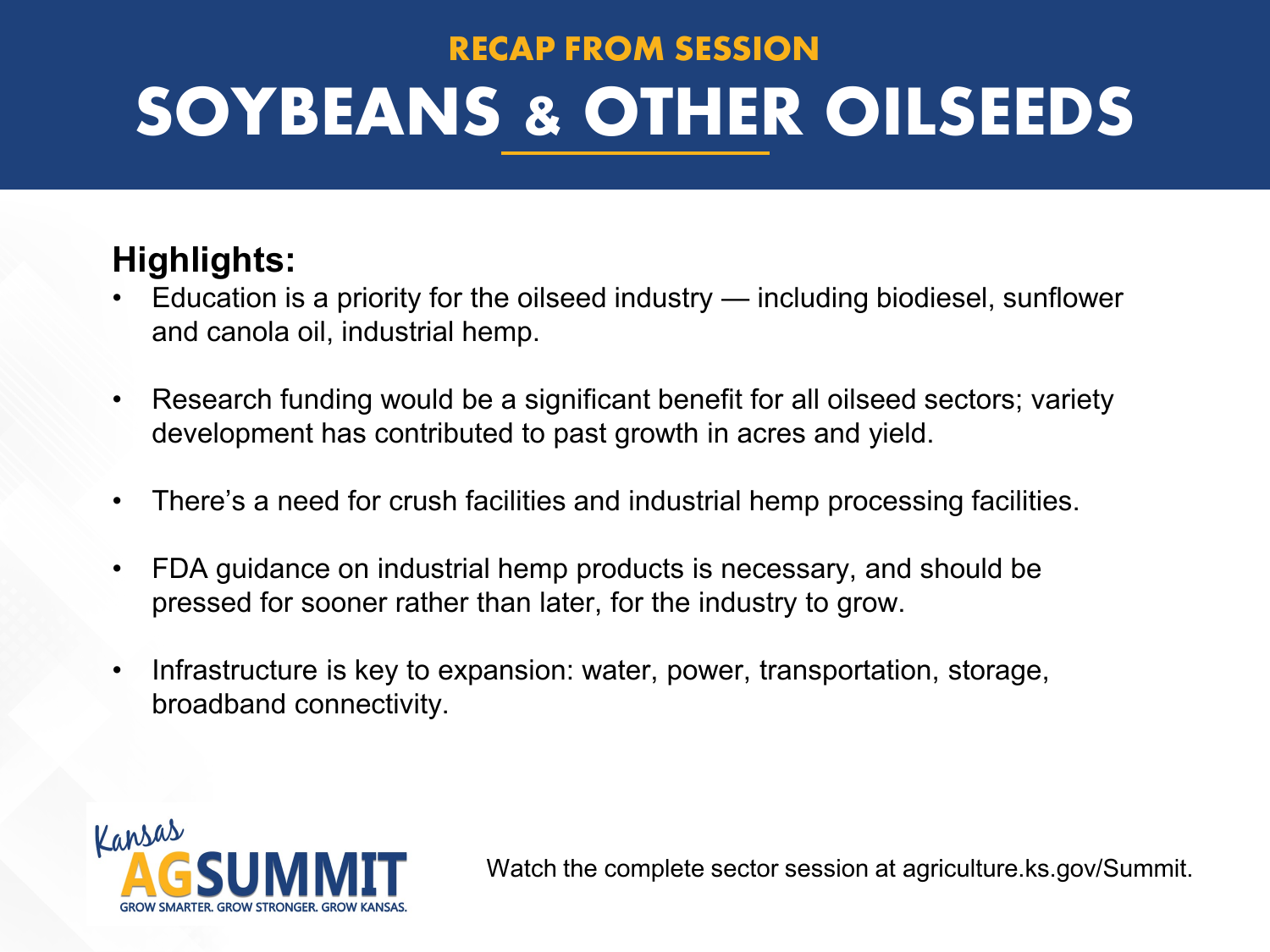# **RECAP FROM SESSION SOYBEANS & OTHER OILSEEDS**

#### **Highlights:**

- Education is a priority for the oilseed industry including biodiesel, sunflower and canola oil, industrial hemp.
- Research funding would be a significant benefit for all oilseed sectors; variety development has contributed to past growth in acres and yield.
- There's a need for crush facilities and industrial hemp processing facilities.
- FDA guidance on industrial hemp products is necessary, and should be pressed for sooner rather than later, for the industry to grow.
- Infrastructure is key to expansion: water, power, transportation, storage, broadband connectivity.

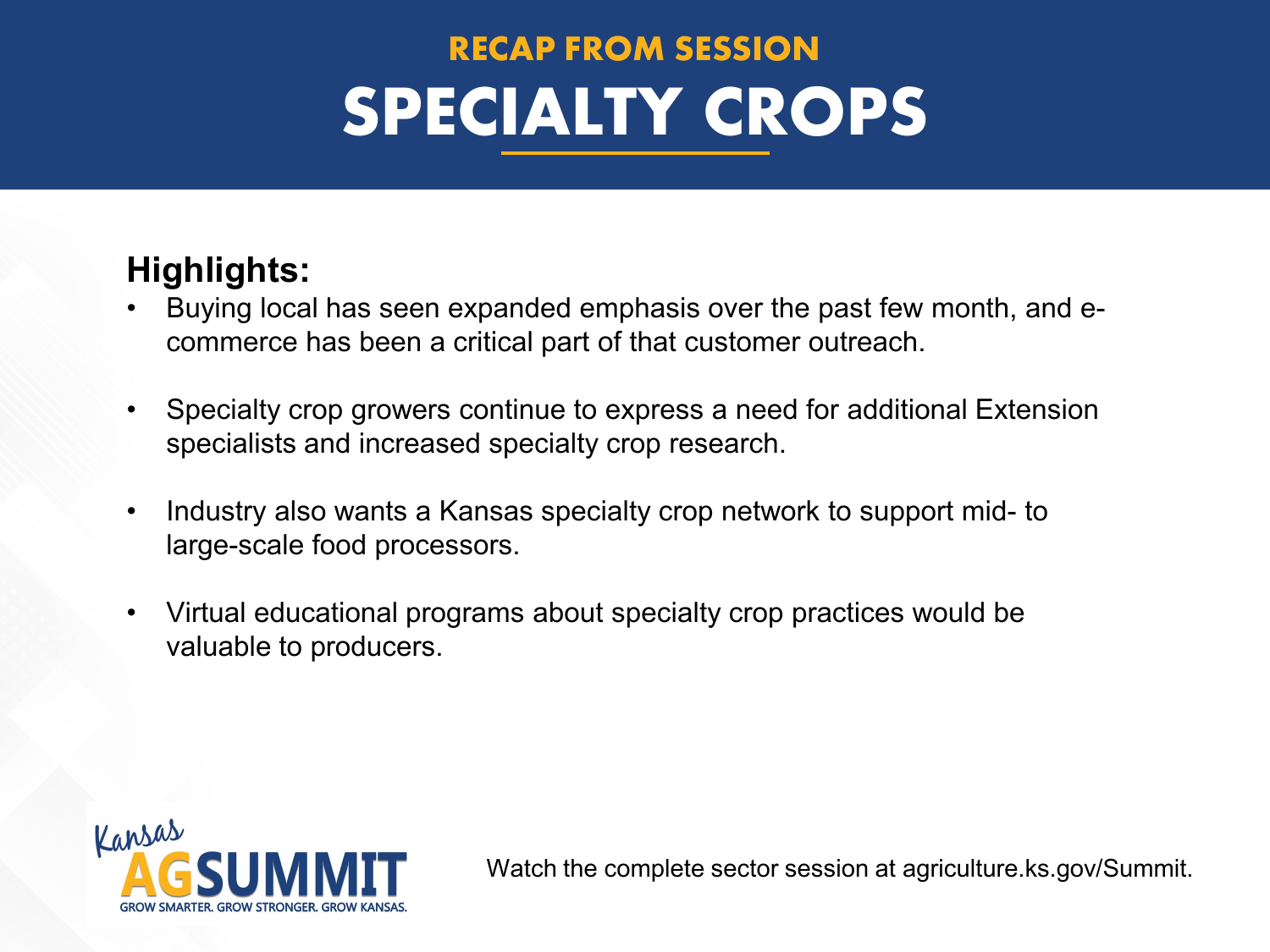# **RECAP FROM SESSION SPECIALTY CROPS**

#### **Highlights:**

- Buying local has seen expanded emphasis over the past few month, and ecommerce has been a critical part of that customer outreach.
- Specialty crop growers continue to express a need for additional Extension specialists and increased specialty crop research.
- Industry also wants a Kansas specialty crop network to support mid- to large-scale food processors.
- Virtual educational programs about specialty crop practices would be valuable to producers.

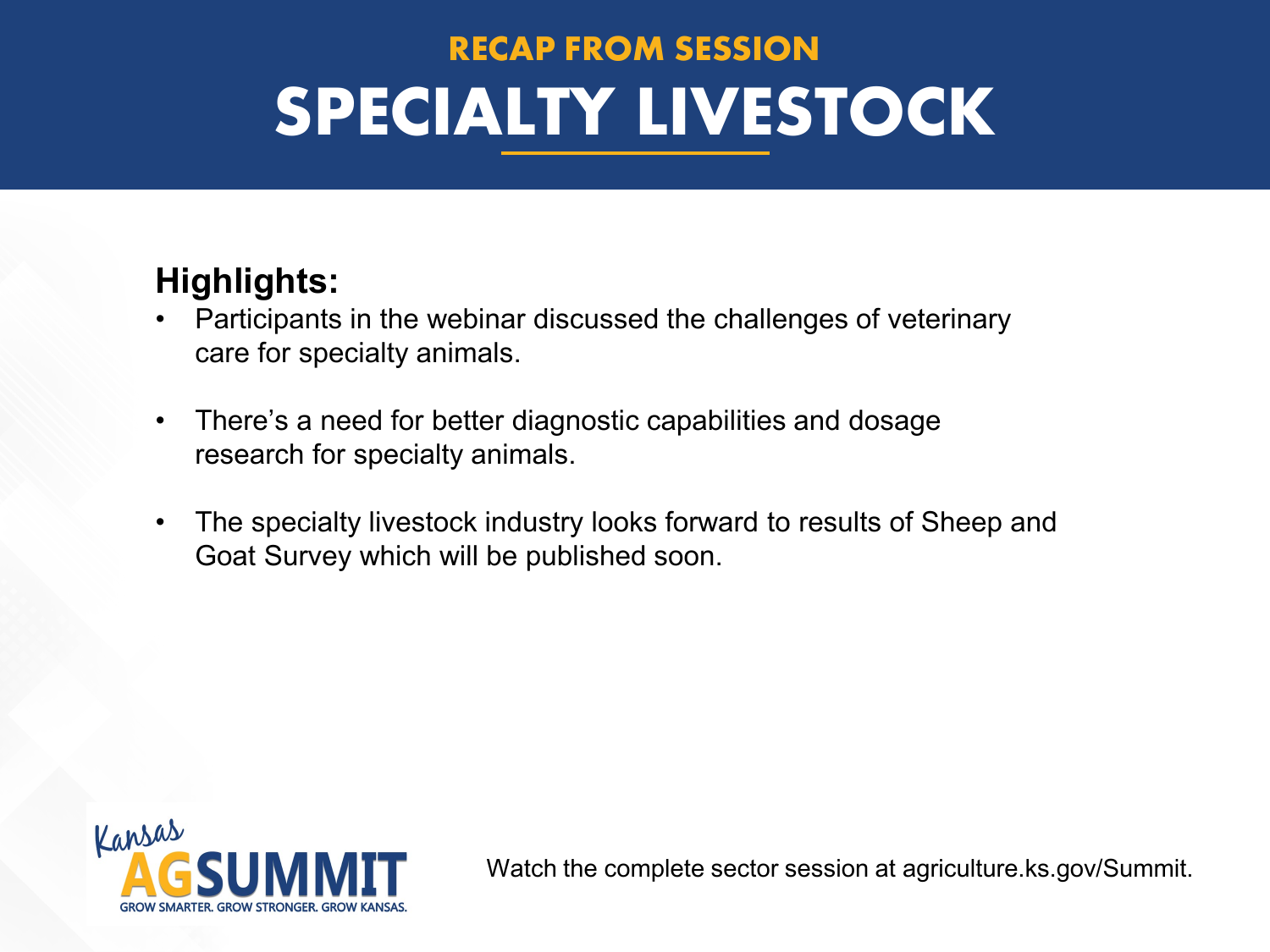## **RECAP FROM SESSION SPECIALTY LIVESTOCK**

#### **Highlights:**

- Participants in the webinar discussed the challenges of veterinary care for specialty animals.
- There's a need for better diagnostic capabilities and dosage research for specialty animals.
- The specialty livestock industry looks forward to results of Sheep and Goat Survey which will be published soon.

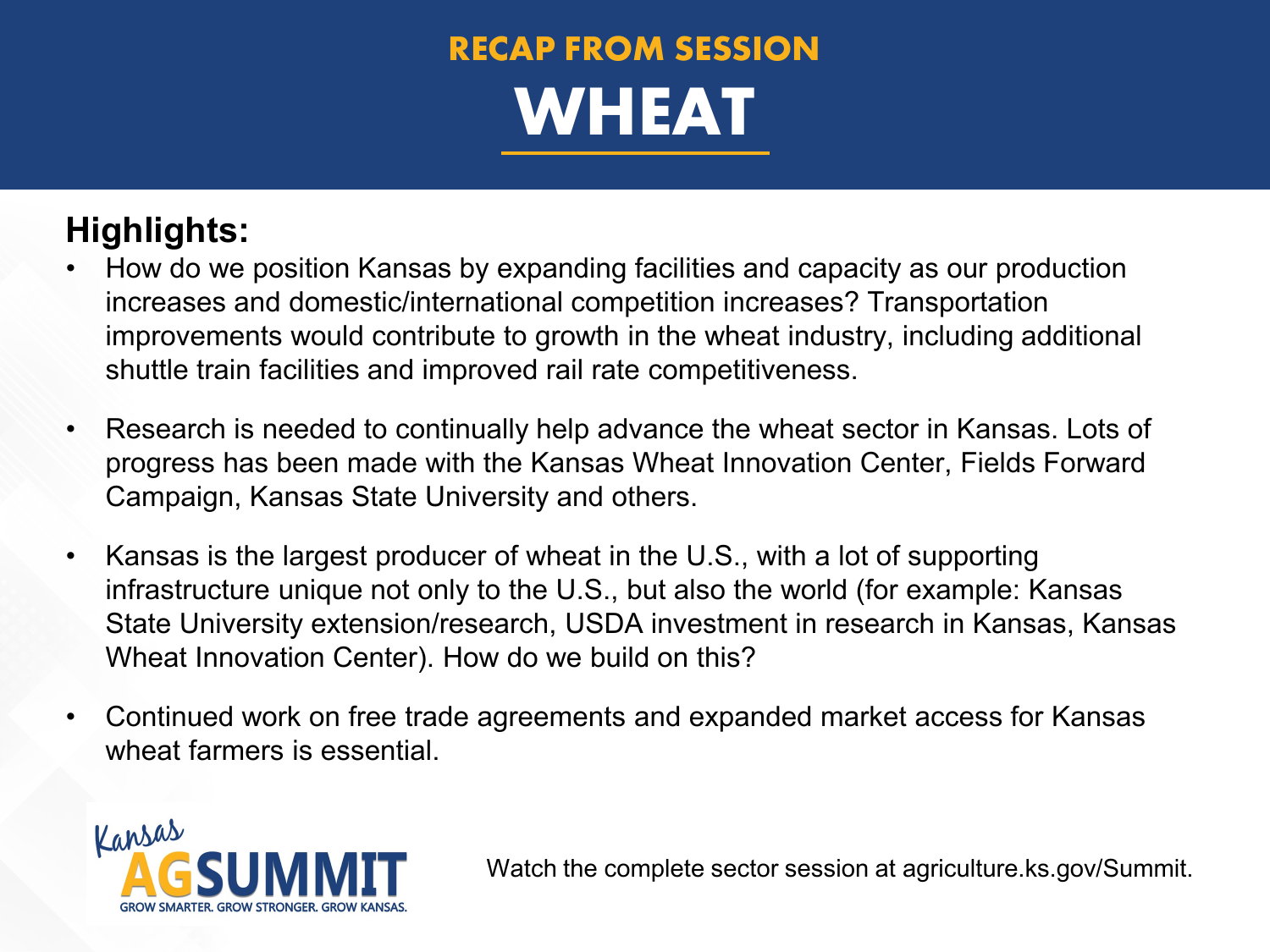## **RECAP FROM SESSION WHEAT**

#### **Highlights:**

- How do we position Kansas by expanding facilities and capacity as our production increases and domestic/international competition increases? Transportation improvements would contribute to growth in the wheat industry, including additional shuttle train facilities and improved rail rate competitiveness.
- Research is needed to continually help advance the wheat sector in Kansas. Lots of progress has been made with the Kansas Wheat Innovation Center, Fields Forward Campaign, Kansas State University and others.
- Kansas is the largest producer of wheat in the U.S., with a lot of supporting infrastructure unique not only to the U.S., but also the world (for example: Kansas State University extension/research, USDA investment in research in Kansas, Kansas Wheat Innovation Center). How do we build on this?
- Continued work on free trade agreements and expanded market access for Kansas wheat farmers is essential.

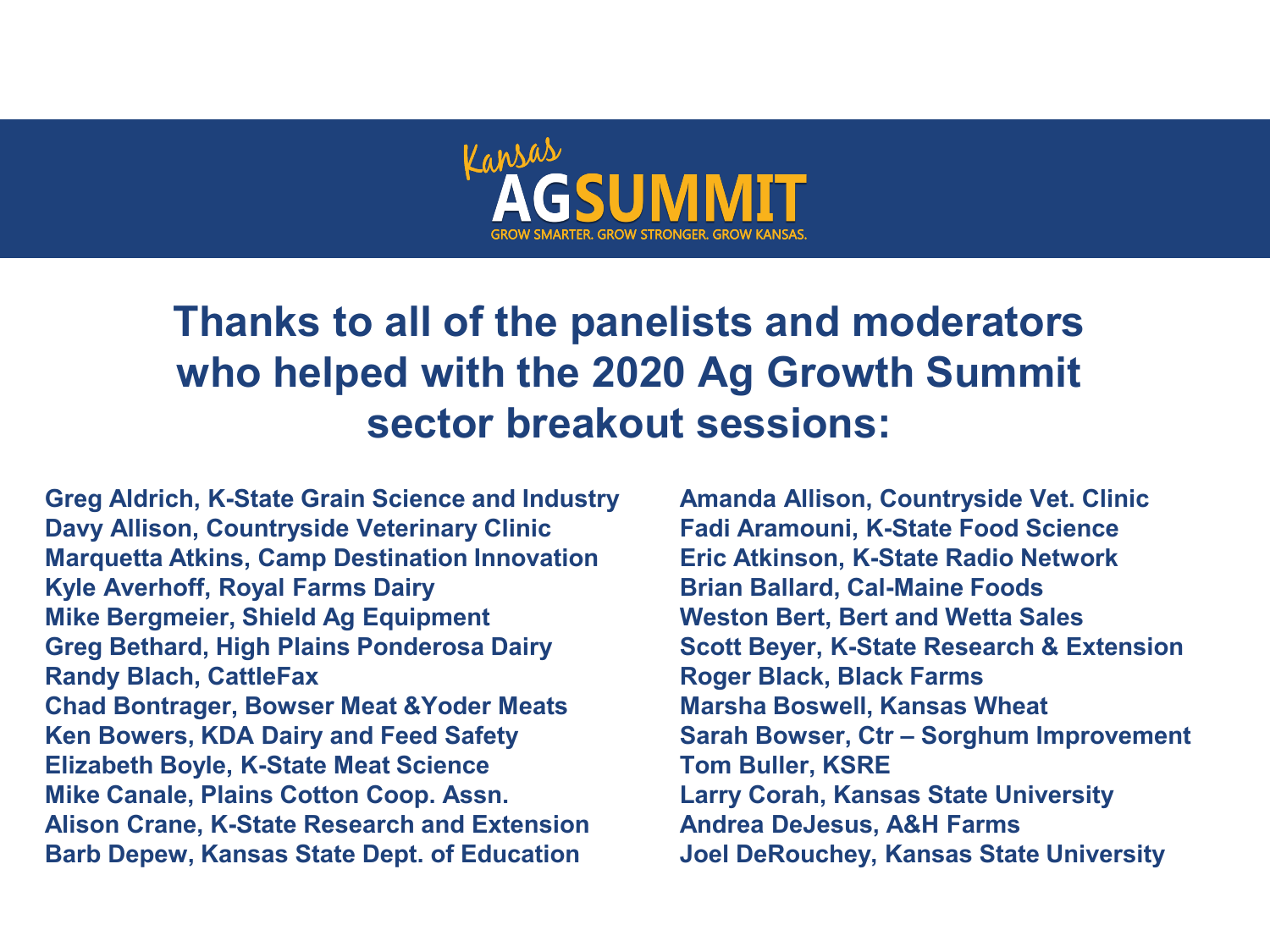

### **Thanks to all of the panelists and moderators who helped with the 2020 Ag Growth Summit sector breakout sessions:**

Ken Bowers, KDA Dairy and Feed Safety Sarah Bowser, Ctr – Sorghum Improvement **Greg Aldrich, K-State Grain Science and Industry Amanda Allison, Countryside Vet. Clinic Davy Allison, Countryside Veterinary Clinic Fadi Aramouni, K-State Food Science Marquetta Atkins, Camp Destination Innovation Eric Atkinson, K-State Radio Network Kyle Averhoff, Royal Farms Dairy <b>Brian Ballard, Cal-Maine Foods Mike Bergmeier, Shield Ag Equipment Weston Bert, Bert and Wetta Sales Greg Bethard, High Plains Ponderosa Dairy Scott Beyer, K-State Research & Extension Randy Blach, CattleFax Roger Black, Black Farms Chad Bontrager, Bowser Meat &Yoder Meats Marsha Boswell, Kansas Wheat Elizabeth Boyle, K-State Meat Science Tom Buller, KSRE Mike Canale, Plains Cotton Coop. Assn. Alison Crane, K-State Research and Extension Andrea DeJesus, A&H Farms Barb Depew, Kansas State Dept. of Education Joel DeRouchey, Kansas State University**

**Growth Summit**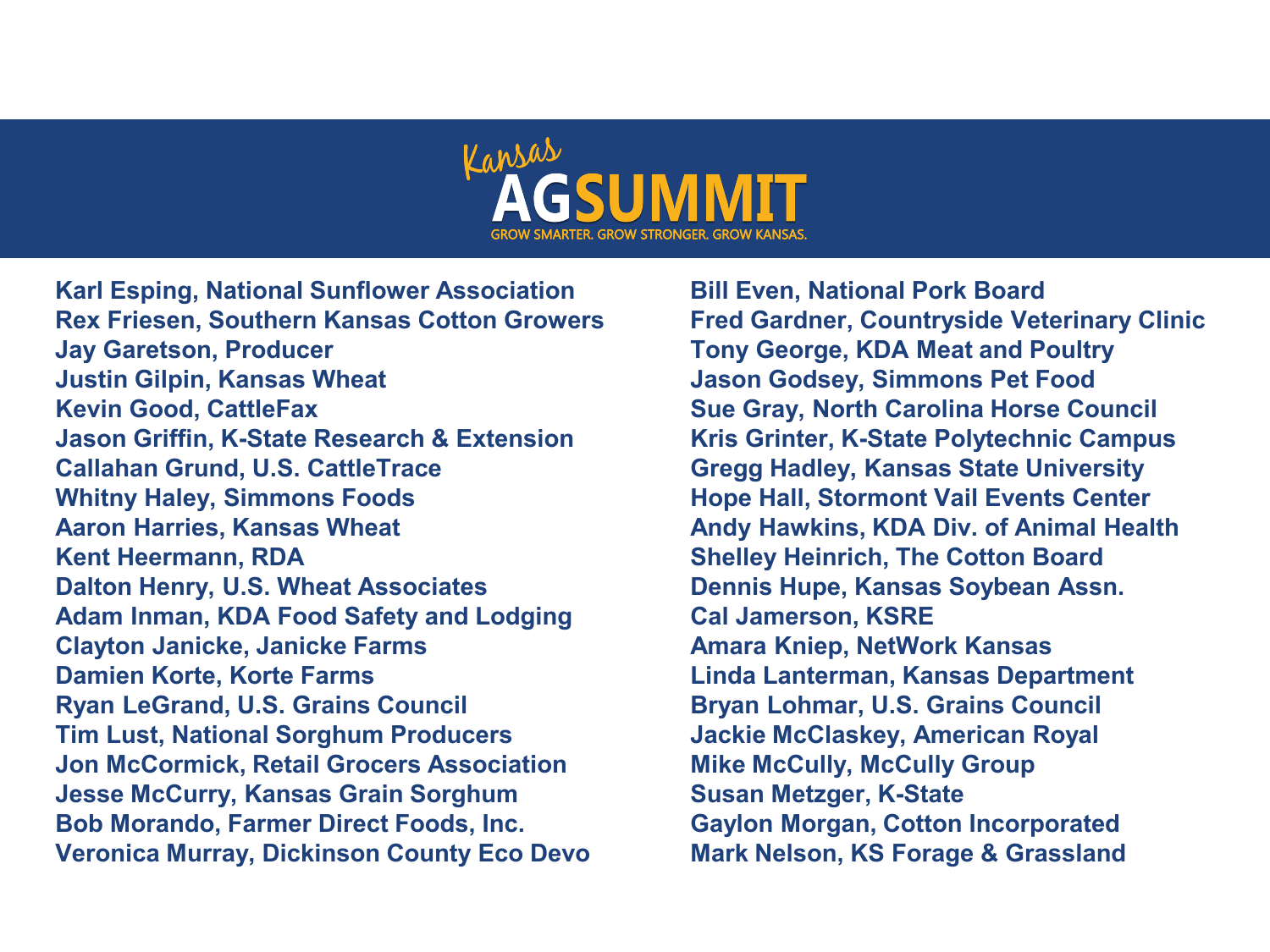

**Karl Esping, National Sunflower Association Bill Even, National Pork Board Rex Friesen, Southern Kansas Cotton Growers Fred Gardner, Countryside Veterinary Clinic Jay Garetson, Producer Tony George, KDA Meat and Poultry Justin Gilpin, Kansas Wheat Jason Godsey, Simmons Pet Food Kevin Good, CattleFax Sue Gray, North Carolina Horse Council Jason Griffin, K-State Research & Extension Kris Grinter, K-State Polytechnic Campus Callahan Grund, U.S. CattleTrace Gregg Hadley, Kansas State University Whitny Haley, Simmons Foods Hope Hall, Stormont Vail Events Center Aaron Harries, Kansas Wheat Andy Hawkins, KDA Div. of Animal Health Kent Heermann, RDA Shelley Heinrich, The Cotton Board Dalton Henry, U.S. Wheat Associates <b>Dennis Hupe, Kansas Soybean Assn. Adam Inman, KDA Food Safety and Lodging Cal Jamerson, KSRE Clayton Janicke, Janicke Farms Amara Kniep, NetWork Kansas Damien Korte, Korte Farms Linda Lanterman, Kansas Department Ryan LeGrand, U.S. Grains Council Bryan Lohmar, U.S. Grains Council Tim Lust, National Sorghum Producers Jon McCormick, Retail Grocers Association Jesse McCurry, Kansas Grain Sorghum Mussell Susan Metzger, K-State Bob Morando, Farmer Direct Foods, Inc. Veronica Murray, Dickinson County Eco Devo Mark Nelson, KS Forage & Grassland**

**Jackie McClaskey, American Royal Mike McCully, McCully Group Gaylon Morgan, Cotton Incorporated**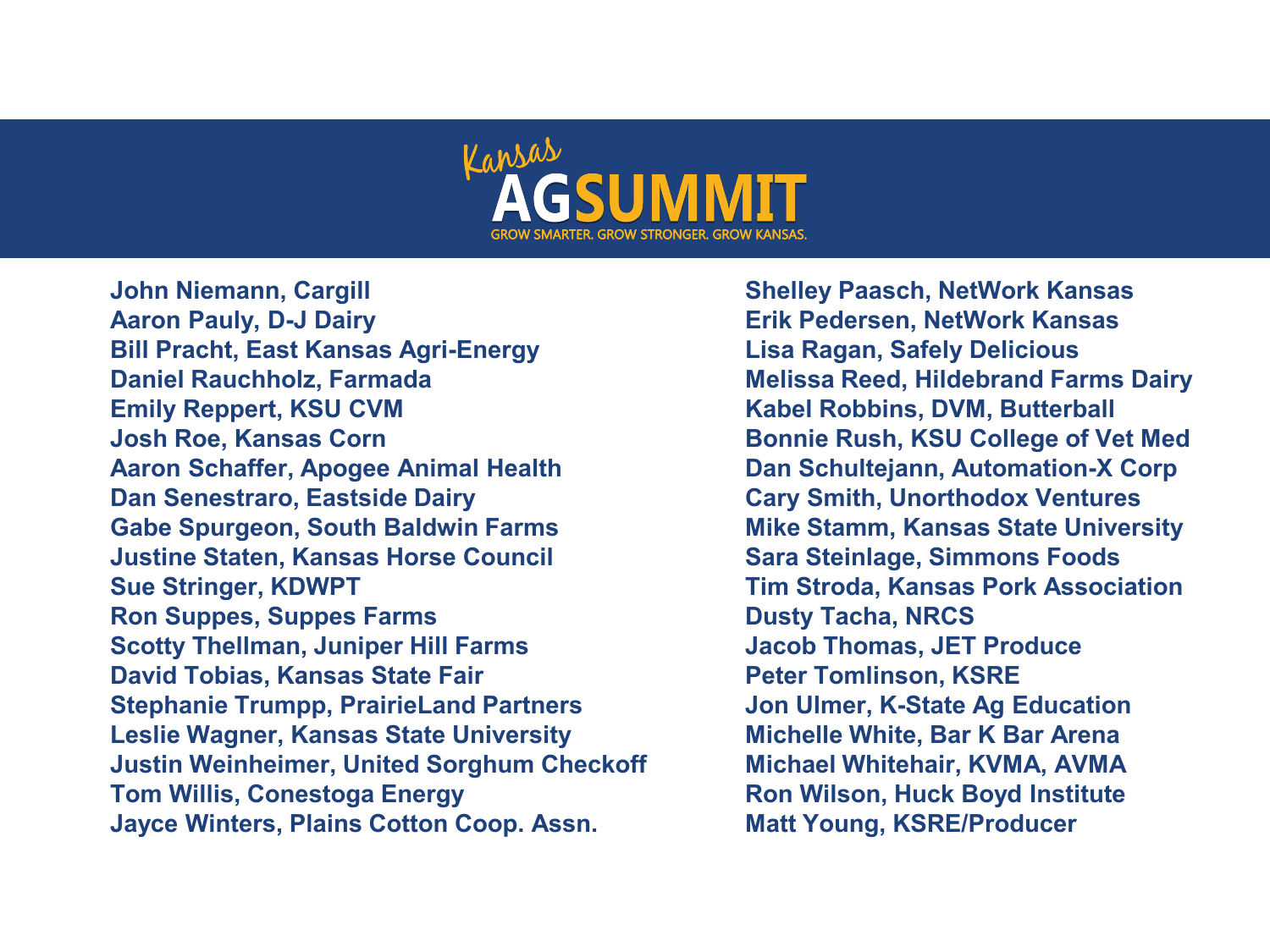

**Summit Tom Willis, Conestoga Energy Ron Wilson, Huck Boyd Institute John Niemann, Cargill Shelley Paasch, NetWork Kansas Aaron Pauly, D-J Dairy Erik Pedersen, NetWork Kansas Bill Pracht, East Kansas Agri-Energy Lisa Ragan, Safely Delicious Daniel Rauchholz, Farmada Melissa Reed, Hildebrand Farms Dairy Emily Reppert, KSU CVM Kabel Robbins, DVM, Butterball Josh Roe, Kansas Corn Bonnie Rush, KSU College of Vet Med Aaron Schaffer, Apogee Animal Health Dan Schultejann, Automation-X Corp Dan Senestraro, Eastside Dairy Cary Smith, Unorthodox Ventures Gabe Spurgeon, South Baldwin Farms Mike Stamm, Kansas State University Justine Staten, Kansas Horse Council Sara Steinlage, Simmons Foods Sue Stringer, KDWPT Tim Stroda, Kansas Pork Association Ron Suppes, Suppes Farms Dusty Tacha, NRCS Scotty Thellman, Juniper Hill Farms Theoduce Inc. Jacob Thomas, JET Produce David Tobias, Kansas State Fair Peter Tomlinson, KSRE Stephanie Trumpp, PrairieLand Partners Jon Ulmer, K-State Ag Education Leslie Wagner, Kansas State University Justin Weinheimer, United Sorghum Checkoff Jayce Winters, Plains Cotton Coop. Assn.** 

**Michelle White, Bar K Bar Arena Michael Whitehair, KVMA, AVMA Growth Matt Young, KSRE/Producer**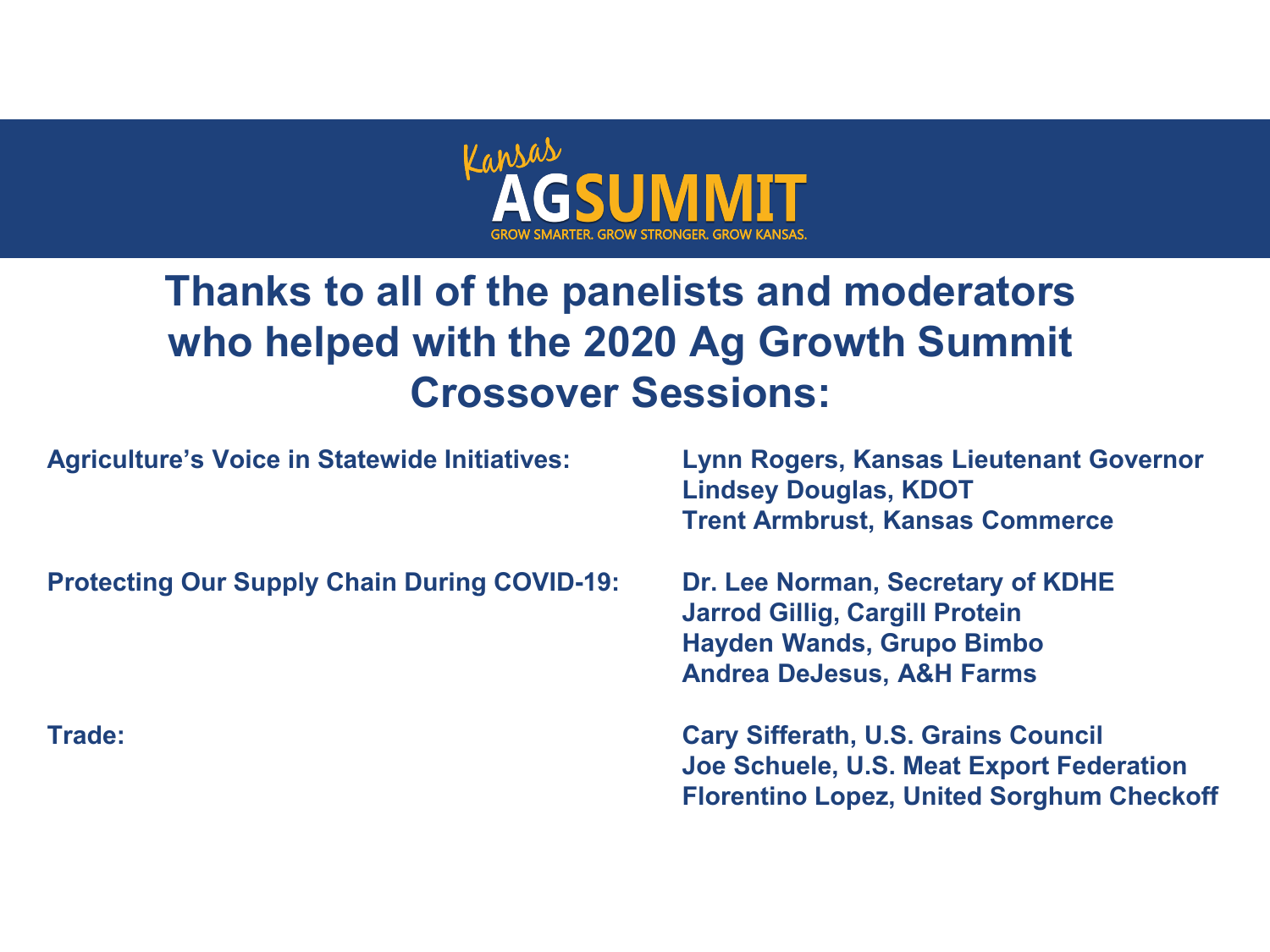

### **Thanks to all of the panelists and moderators who helped with the 2020 Ag Growth Summit Crossover Sessions:**

**Agriculture's Voice in Statewide Initiatives: Lynn Rogers, Kansas Lieutenant Governor**

**Lindsey Douglas, KDOT Trent Armbrust, Kansas Commerce**

**Protecting Our Supply Chain During COVID-19: Dr. Lee Norman, Secretary of KDHE**

**Jarrod Gillig, Cargill Protein Hayden Wands, Grupo Bimbo Andrea DeJesus, A&H Farms**

**Kansas Trade: Cary Sifferath, U.S. Grains Council Ag Joe Schuele, U.S. Meat Export Federation Growth Summit Florentino Lopez, United Sorghum Checkoff**